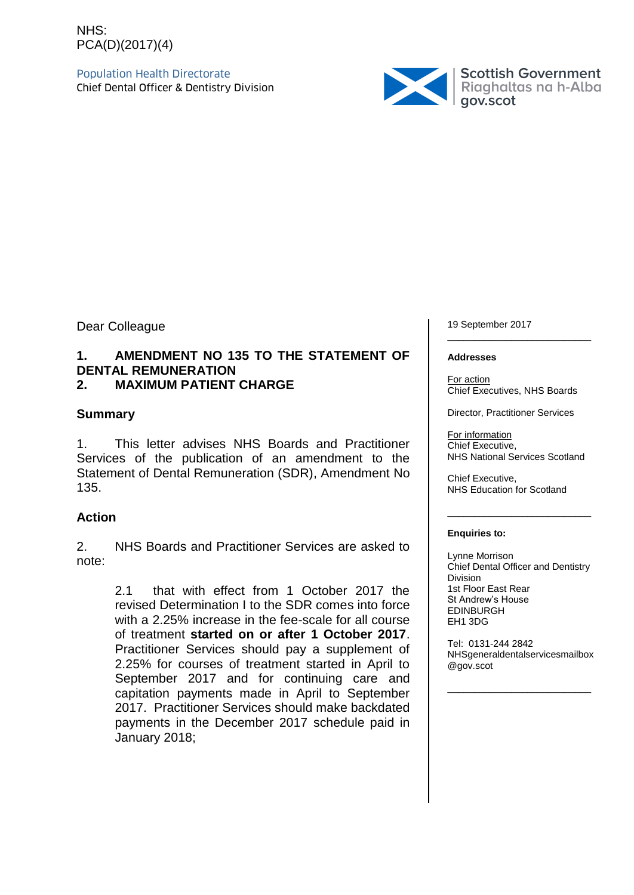# NHS: PCA(D)(2017)(4)

Population Health Directorate



Dear Colleague

# **1. AMENDMENT NO 135 TO THE STATEMENT OF DENTAL REMUNERATION**

# **2. MAXIMUM PATIENT CHARGE**

# **Summary**

1. This letter advises NHS Boards and Practitioner Services of the publication of an amendment to the Statement of Dental Remuneration (SDR), Amendment No 135.

# **Action**

2. NHS Boards and Practitioner Services are asked to note:

> 2.1 that with effect from 1 October 2017 the revised Determination I to the SDR comes into force with a 2.25% increase in the fee-scale for all course of treatment **started on or after 1 October 2017**. Practitioner Services should pay a supplement of 2.25% for courses of treatment started in April to September 2017 and for continuing care and capitation payments made in April to September 2017. Practitioner Services should make backdated payments in the December 2017 schedule paid in January 2018;

19 September 2017 \_\_\_\_\_\_\_\_\_\_\_\_\_\_\_\_\_\_\_\_\_\_\_\_\_\_\_

#### **Addresses**

For action Chief Executives, NHS Boards

Director, Practitioner Services

For information Chief Executive, NHS National Services Scotland

\_\_\_\_\_\_\_\_\_\_\_\_\_\_\_\_\_\_\_\_\_\_\_\_\_\_\_

Chief Executive, NHS Education for Scotland

#### **Enquiries to:**

Lynne Morrison Chief Dental Officer and Dentistry Division 1st Floor East Rear St Andrew's House EDINBURGH EH1 3DG

Tel: 0131-244 2842 NHSgeneraldentalservicesmailbox @gov.scot

\_\_\_\_\_\_\_\_\_\_\_\_\_\_\_\_\_\_\_\_\_\_\_\_\_\_\_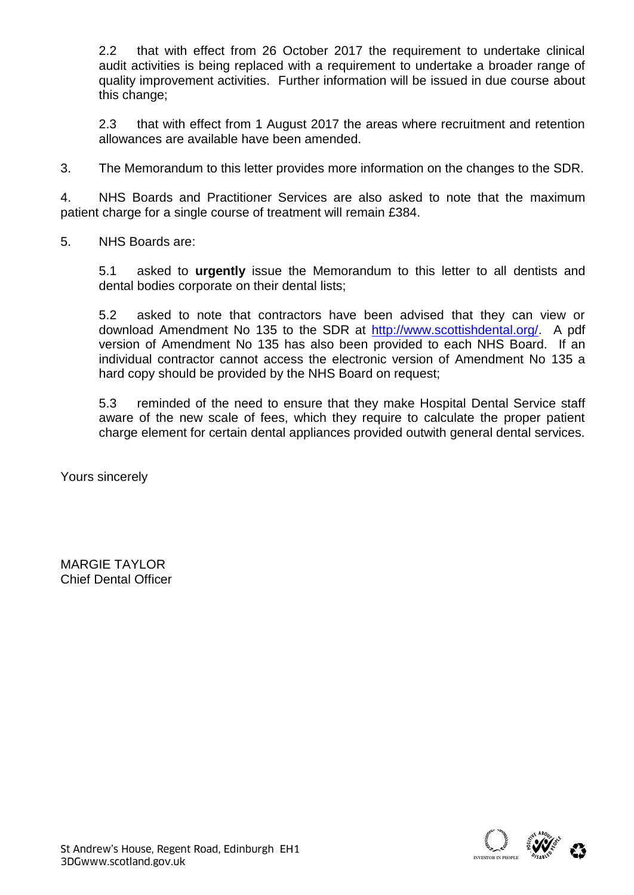2.2 that with effect from 26 October 2017 the requirement to undertake clinical audit activities is being replaced with a requirement to undertake a broader range of quality improvement activities. Further information will be issued in due course about this change;

2.3 that with effect from 1 August 2017 the areas where recruitment and retention allowances are available have been amended.

3. The Memorandum to this letter provides more information on the changes to the SDR.

4. NHS Boards and Practitioner Services are also asked to note that the maximum patient charge for a single course of treatment will remain £384.

5. NHS Boards are:

5.1 asked to **urgently** issue the Memorandum to this letter to all dentists and dental bodies corporate on their dental lists;

5.2 asked to note that contractors have been advised that they can view or download Amendment No 135 to the SDR at [http://www.scottishdental.org/.](http://www.scottishdental.org/) A pdf version of Amendment No 135 has also been provided to each NHS Board. If an individual contractor cannot access the electronic version of Amendment No 135 a hard copy should be provided by the NHS Board on request;

5.3 reminded of the need to ensure that they make Hospital Dental Service staff aware of the new scale of fees, which they require to calculate the proper patient charge element for certain dental appliances provided outwith general dental services.

Yours sincerely

MARGIE TAYLOR Chief Dental Officer

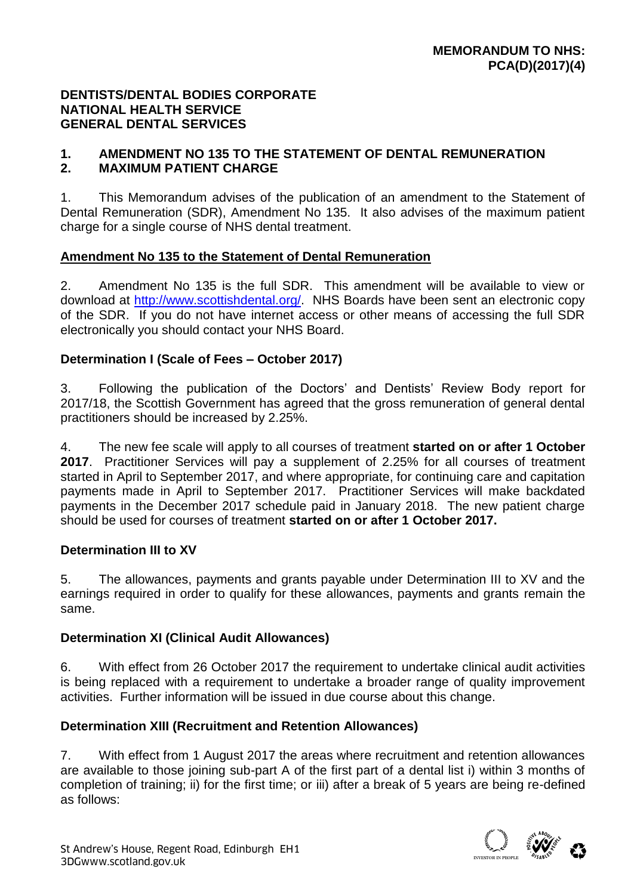# **DENTISTS/DENTAL BODIES CORPORATE NATIONAL HEALTH SERVICE GENERAL DENTAL SERVICES**

#### **1. AMENDMENT NO 135 TO THE STATEMENT OF DENTAL REMUNERATION 2. MAXIMUM PATIENT CHARGE**

1. This Memorandum advises of the publication of an amendment to the Statement of Dental Remuneration (SDR), Amendment No 135. It also advises of the maximum patient charge for a single course of NHS dental treatment.

# **Amendment No 135 to the Statement of Dental Remuneration**

2. Amendment No 135 is the full SDR. This amendment will be available to view or download at [http://www.scottishdental.org/.](http://www.scottishdental.org/) NHS Boards have been sent an electronic copy of the SDR. If you do not have internet access or other means of accessing the full SDR electronically you should contact your NHS Board.

# **Determination I (Scale of Fees – October 2017)**

3. Following the publication of the Doctors' and Dentists' Review Body report for 2017/18, the Scottish Government has agreed that the gross remuneration of general dental practitioners should be increased by 2.25%.

4. The new fee scale will apply to all courses of treatment **started on or after 1 October 2017**. Practitioner Services will pay a supplement of 2.25% for all courses of treatment started in April to September 2017, and where appropriate, for continuing care and capitation payments made in April to September 2017. Practitioner Services will make backdated payments in the December 2017 schedule paid in January 2018. The new patient charge should be used for courses of treatment **started on or after 1 October 2017.** 

# **Determination III to XV**

5. The allowances, payments and grants payable under Determination III to XV and the earnings required in order to qualify for these allowances, payments and grants remain the same.

# **Determination XI (Clinical Audit Allowances)**

6. With effect from 26 October 2017 the requirement to undertake clinical audit activities is being replaced with a requirement to undertake a broader range of quality improvement activities. Further information will be issued in due course about this change.

# **Determination XIII (Recruitment and Retention Allowances)**

7. With effect from 1 August 2017 the areas where recruitment and retention allowances are available to those joining sub-part A of the first part of a dental list i) within 3 months of completion of training; ii) for the first time; or iii) after a break of 5 years are being re-defined as follows: